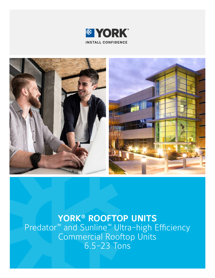



**YORK® ROOFTOP UNITS** Predator™ and Sunline™ Ultra-high Efficiency Commercial Rooftop Units 6.5-23 Tons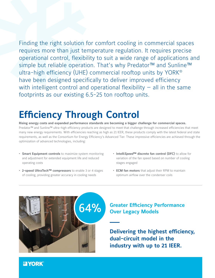Finding the right solution for comfort cooling in commercial spaces requires more than just temperature regulation. It requires precise operational control, flexibility to suit a wide range of applications and simple but reliable operation. That's why Predator™ and Sunline™ ultra-high efficiency (UHE) commercial rooftop units by YORK® have been designed specifically to deliver improved efficiency with intelligent control and operational flexibility  $-$  all in the same footprints as our existing 6.5-25 ton rooftop units.

## **Efficiency Through Control**

**Rising energy costs and expanded performance standards are becoming a bigger challenge for commercial spaces.**  Predator™ and Sunline™ ultra-high efficiency products are designed to meet that challenge through increased efficiencies that meet many new energy requirements. With efficiencies reaching as high as 21 IEER, these products comply with the latest federal and state requirements, as well as the Consortium for Energy Efficiency's Advanced Tier. These impressive efficiencies are achieved through the optimization of advanced technologies, including:

- **• Smart Equipment controls** to maximize system monitoring and adjustment for extended equipment life and reduced operating costs
- **• 2-speed UltraTech™ compressors** to enable 3 or 4 stages of cooling, providing greater accuracy in cooling needs
- **• Intelli***Speed***™ discrete fan control (DFC)** to allow for variation of the fan speed based on number of cooling stages engaged
- **• ECM fan motors** that adjust their RPM to maintain optimum airflow over the condenser coils



# **Greater Efficiency Performance <b>64%** Over Legacy Models

**Delivering the highest efficiency, dual-circuit model in the industry with up to 21 IEER.**

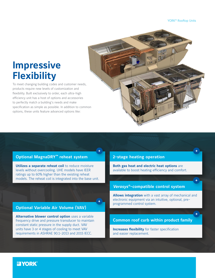### **Impressive Flexibility**

To meet changing building codes and customer needs, products require new levels of customization and flexibility. Built exclusively to order, each ultra-high efficiency unit has a host of options and accessories to perfectly match a building's needs and make specification as simple as possible. In addition to common options, these units feature advanced options like:



#### **Optional MagnaDRY™ reheat system**

**Utilizes a separate reheat coil** to reduce moisture levels without overcooling. UHE models have IEER ratings up to 60% higher than the existing reheat models. The reheat coil is integrated into the base unit.

#### **Optional Variable Air Volume (VAV)**

**Alternative blower control option** uses a variable frequency drive and pressure transducer to maintain constant static pressure in the supply duct. VAV units have 3 or 4 stages of cooling to meet VAV requirements in ASHRAE 90.1-2013 and 2015 IECC.

#### **2-stage heating operation**

**Both gas heat and electric heat options** are available to boost heating efficiency and comfort.

#### *Verasys®***-compatible control system**

**Allows integration** with a vast array of mechanical and electronic equipment via an intuitive, optional, preprogrammed control system.

#### **Common roof curb within product family**

**Increases flexibility** for faster specification and easier replacement.